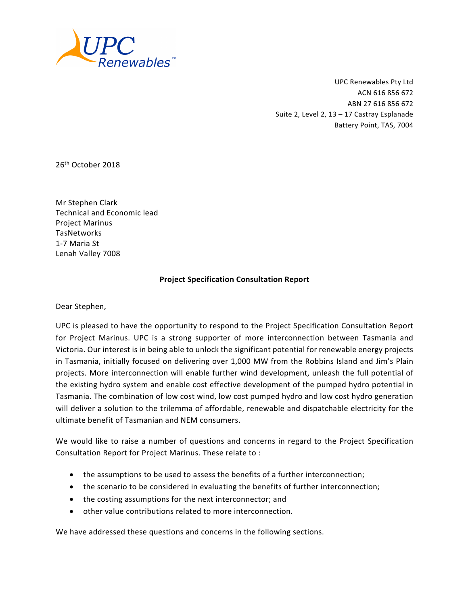

UPC Renewables Pty Ltd ACN 616 856 672 ABN 27 616 856 672 Suite 2, Level 2, 13 – 17 Castray Esplanade Battery Point, TAS, 7004

26<sup>th</sup> October 2018

Mr Stephen Clark Technical and Economic lead Project Marinus TasNetworks 1-7 Maria St Lenah Valley 7008

#### **Project Specification Consultation Report**

Dear Stephen,

UPC is pleased to have the opportunity to respond to the Project Specification Consultation Report for Project Marinus. UPC is a strong supporter of more interconnection between Tasmania and Victoria. Our interest is in being able to unlock the significant potential for renewable energy projects in Tasmania, initially focused on delivering over 1,000 MW from the Robbins Island and Jim's Plain projects. More interconnection will enable further wind development, unleash the full potential of the existing hydro system and enable cost effective development of the pumped hydro potential in Tasmania. The combination of low cost wind, low cost pumped hydro and low cost hydro generation will deliver a solution to the trilemma of affordable, renewable and dispatchable electricity for the ultimate benefit of Tasmanian and NEM consumers.

We would like to raise a number of questions and concerns in regard to the Project Specification Consultation Report for Project Marinus. These relate to :

- the assumptions to be used to assess the benefits of a further interconnection;
- the scenario to be considered in evaluating the benefits of further interconnection;
- the costing assumptions for the next interconnector; and
- other value contributions related to more interconnection.

We have addressed these questions and concerns in the following sections.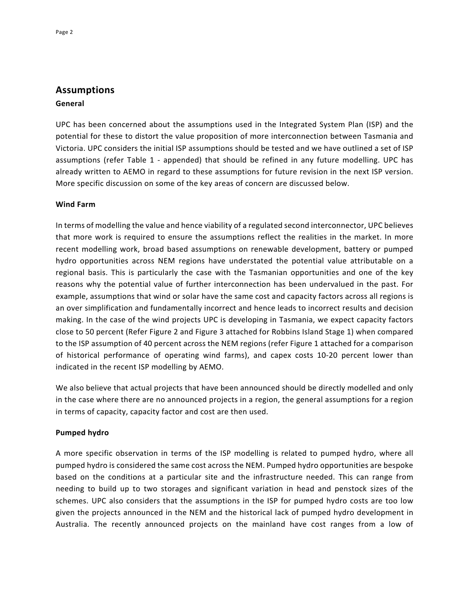# **Assumptions**

#### **General**

UPC has been concerned about the assumptions used in the Integrated System Plan (ISP) and the potential for these to distort the value proposition of more interconnection between Tasmania and Victoria. UPC considers the initial ISP assumptions should be tested and we have outlined a set of ISP assumptions (refer Table 1 - appended) that should be refined in any future modelling. UPC has already written to AEMO in regard to these assumptions for future revision in the next ISP version. More specific discussion on some of the key areas of concern are discussed below.

#### **Wind Farm**

In terms of modelling the value and hence viability of a regulated second interconnector, UPC believes that more work is required to ensure the assumptions reflect the realities in the market. In more recent modelling work, broad based assumptions on renewable development, battery or pumped hydro opportunities across NEM regions have understated the potential value attributable on a regional basis. This is particularly the case with the Tasmanian opportunities and one of the key reasons why the potential value of further interconnection has been undervalued in the past. For example, assumptions that wind or solar have the same cost and capacity factors across all regions is an over simplification and fundamentally incorrect and hence leads to incorrect results and decision making. In the case of the wind projects UPC is developing in Tasmania, we expect capacity factors close to 50 percent (Refer Figure 2 and Figure 3 attached for Robbins Island Stage 1) when compared to the ISP assumption of 40 percent across the NEM regions (refer Figure 1 attached for a comparison of historical performance of operating wind farms), and capex costs 10-20 percent lower than indicated in the recent ISP modelling by AEMO.

We also believe that actual projects that have been announced should be directly modelled and only in the case where there are no announced projects in a region, the general assumptions for a region in terms of capacity, capacity factor and cost are then used.

#### **Pumped hydro**

A more specific observation in terms of the ISP modelling is related to pumped hydro, where all pumped hydro is considered the same cost across the NEM. Pumped hydro opportunities are bespoke based on the conditions at a particular site and the infrastructure needed. This can range from needing to build up to two storages and significant variation in head and penstock sizes of the schemes. UPC also considers that the assumptions in the ISP for pumped hydro costs are too low given the projects announced in the NEM and the historical lack of pumped hydro development in Australia. The recently announced projects on the mainland have cost ranges from a low of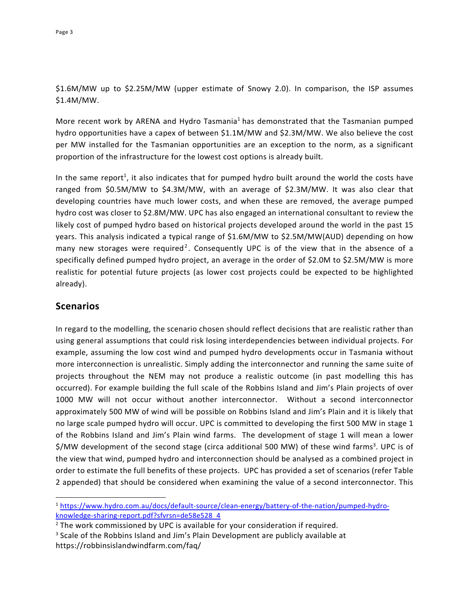### \$1.6M/MW up to \$2.25M/MW (upper estimate of Snowy 2.0). In comparison, the ISP assumes \$1.4M/MW.

More recent work by ARENA and Hydro Tasmania<sup>1</sup> has demonstrated that the Tasmanian pumped hydro opportunities have a capex of between \$1.1M/MW and \$2.3M/MW. We also believe the cost per MW installed for the Tasmanian opportunities are an exception to the norm, as a significant proportion of the infrastructure for the lowest cost options is already built.

In the same report<sup>1</sup>, it also indicates that for pumped hydro built around the world the costs have ranged from \$0.5M/MW to \$4.3M/MW, with an average of \$2.3M/MW. It was also clear that developing countries have much lower costs, and when these are removed, the average pumped hydro cost was closer to \$2.8M/MW. UPC has also engaged an international consultant to review the likely cost of pumped hydro based on historical projects developed around the world in the past 15 years. This analysis indicated a typical range of \$1.6M/MW to \$2.5M/MW(AUD) depending on how many new storages were required<sup>2</sup>. Consequently UPC is of the view that in the absence of a specifically defined pumped hydro project, an average in the order of \$2.0M to \$2.5M/MW is more realistic for potential future projects (as lower cost projects could be expected to be highlighted already).

#### **Scenarios**

In regard to the modelling, the scenario chosen should reflect decisions that are realistic rather than using general assumptions that could risk losing interdependencies between individual projects. For example, assuming the low cost wind and pumped hydro developments occur in Tasmania without more interconnection is unrealistic. Simply adding the interconnector and running the same suite of projects throughout the NEM may not produce a realistic outcome (in past modelling this has occurred). For example building the full scale of the Robbins Island and Jim's Plain projects of over 1000 MW will not occur without another interconnector. Without a second interconnector approximately 500 MW of wind will be possible on Robbins Island and Jim's Plain and it is likely that no large scale pumped hydro will occur. UPC is committed to developing the first 500 MW in stage 1 of the Robbins Island and Jim's Plain wind farms. The development of stage 1 will mean a lower \$/MW development of the second stage (circa additional 500 MW) of these wind farms<sup>3</sup>. UPC is of the view that wind, pumped hydro and interconnection should be analysed as a combined project in order to estimate the full benefits of these projects. UPC has provided a set of scenarios (refer Table 2 appended) that should be considered when examining the value of a second interconnector. This

 <sup>1</sup> https://www.hydro.com.au/docs/default-source/clean-energy/battery-of-the-nation/pumped-hydroknowledge-sharing-report.pdf?sfvrsn=de58e528\_4

<sup>&</sup>lt;sup>2</sup> The work commissioned by UPC is available for your consideration if required.

<sup>&</sup>lt;sup>3</sup> Scale of the Robbins Island and Jim's Plain Development are publicly available at https://robbinsislandwindfarm.com/faq/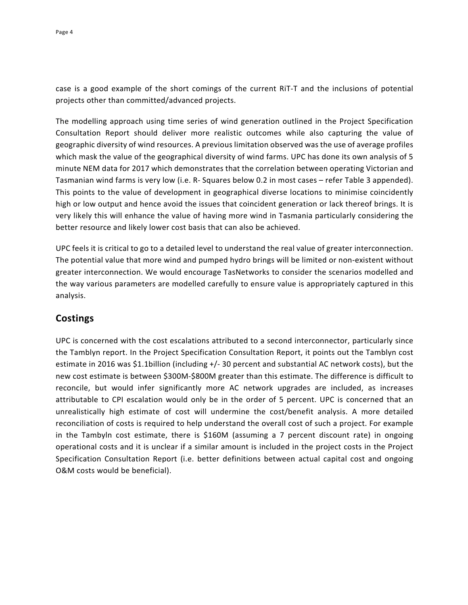case is a good example of the short comings of the current RiT-T and the inclusions of potential projects other than committed/advanced projects.

The modelling approach using time series of wind generation outlined in the Project Specification Consultation Report should deliver more realistic outcomes while also capturing the value of geographic diversity of wind resources. A previous limitation observed was the use of average profiles which mask the value of the geographical diversity of wind farms. UPC has done its own analysis of 5 minute NEM data for 2017 which demonstrates that the correlation between operating Victorian and Tasmanian wind farms is very low (i.e. R- Squares below 0.2 in most cases – refer Table 3 appended). This points to the value of development in geographical diverse locations to minimise coincidently high or low output and hence avoid the issues that coincident generation or lack thereof brings. It is very likely this will enhance the value of having more wind in Tasmania particularly considering the better resource and likely lower cost basis that can also be achieved.

UPC feels it is critical to go to a detailed level to understand the real value of greater interconnection. The potential value that more wind and pumped hydro brings will be limited or non-existent without greater interconnection. We would encourage TasNetworks to consider the scenarios modelled and the way various parameters are modelled carefully to ensure value is appropriately captured in this analysis.

## **Costings**

UPC is concerned with the cost escalations attributed to a second interconnector, particularly since the Tamblyn report. In the Project Specification Consultation Report, it points out the Tamblyn cost estimate in 2016 was \$1.1billion (including +/- 30 percent and substantial AC network costs), but the new cost estimate is between \$300M-\$800M greater than this estimate. The difference is difficult to reconcile, but would infer significantly more AC network upgrades are included, as increases attributable to CPI escalation would only be in the order of 5 percent. UPC is concerned that an unrealistically high estimate of cost will undermine the cost/benefit analysis. A more detailed reconciliation of costs is required to help understand the overall cost of such a project. For example in the Tambyln cost estimate, there is \$160M (assuming a 7 percent discount rate) in ongoing operational costs and it is unclear if a similar amount is included in the project costs in the Project Specification Consultation Report (i.e. better definitions between actual capital cost and ongoing O&M costs would be beneficial).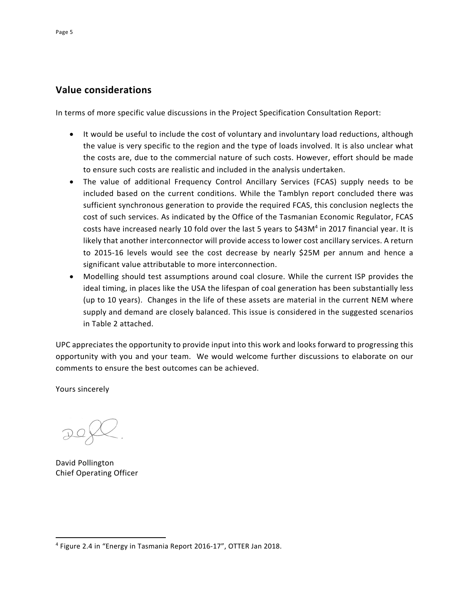## **Value considerations**

In terms of more specific value discussions in the Project Specification Consultation Report:

- It would be useful to include the cost of voluntary and involuntary load reductions, although the value is very specific to the region and the type of loads involved. It is also unclear what the costs are, due to the commercial nature of such costs. However, effort should be made to ensure such costs are realistic and included in the analysis undertaken.
- The value of additional Frequency Control Ancillary Services (FCAS) supply needs to be included based on the current conditions. While the Tamblyn report concluded there was sufficient synchronous generation to provide the required FCAS, this conclusion neglects the cost of such services. As indicated by the Office of the Tasmanian Economic Regulator, FCAS costs have increased nearly 10 fold over the last 5 years to \$43M<sup>4</sup> in 2017 financial year. It is likely that another interconnector will provide access to lower cost ancillary services. A return to 2015-16 levels would see the cost decrease by nearly \$25M per annum and hence a significant value attributable to more interconnection.
- Modelling should test assumptions around coal closure. While the current ISP provides the ideal timing, in places like the USA the lifespan of coal generation has been substantially less (up to 10 years). Changes in the life of these assets are material in the current NEM where supply and demand are closely balanced. This issue is considered in the suggested scenarios in Table 2 attached.

UPC appreciates the opportunity to provide input into this work and looks forward to progressing this opportunity with you and your team. We would welcome further discussions to elaborate on our comments to ensure the best outcomes can be achieved.

Yours sincerely

David Pollington Chief Operating Officer

 <sup>4</sup> Figure 2.4 in "Energy in Tasmania Report 2016-17", OTTER Jan 2018.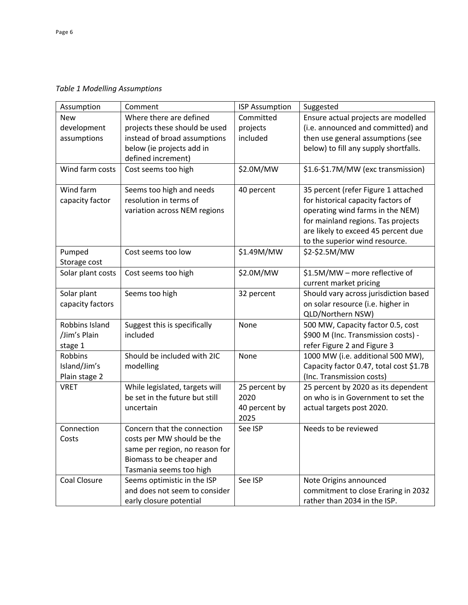*Table 1 Modelling Assumptions*

| Assumption        | Comment                        | <b>ISP Assumption</b> | Suggested                               |
|-------------------|--------------------------------|-----------------------|-----------------------------------------|
| <b>New</b>        | Where there are defined        | Committed             | Ensure actual projects are modelled     |
| development       | projects these should be used  | projects              | (i.e. announced and committed) and      |
| assumptions       | instead of broad assumptions   | included              | then use general assumptions (see       |
|                   | below (ie projects add in      |                       | below) to fill any supply shortfalls.   |
|                   | defined increment)             |                       |                                         |
| Wind farm costs   | Cost seems too high            | \$2.0M/MW             | \$1.6-\$1.7M/MW (exc transmission)      |
| Wind farm         | Seems too high and needs       | 40 percent            | 35 percent (refer Figure 1 attached     |
| capacity factor   | resolution in terms of         |                       | for historical capacity factors of      |
|                   | variation across NEM regions   |                       | operating wind farms in the NEM)        |
|                   |                                |                       | for mainland regions. Tas projects      |
|                   |                                |                       | are likely to exceed 45 percent due     |
|                   |                                |                       | to the superior wind resource.          |
| Pumped            | Cost seems too low             | \$1.49M/MW            | \$2-\$2.5M/MW                           |
| Storage cost      |                                |                       |                                         |
| Solar plant costs | Cost seems too high            | \$2.0M/MW             | \$1.5M/MW - more reflective of          |
|                   |                                |                       | current market pricing                  |
| Solar plant       | Seems too high                 | 32 percent            | Should vary across jurisdiction based   |
| capacity factors  |                                |                       | on solar resource (i.e. higher in       |
|                   |                                |                       | QLD/Northern NSW)                       |
| Robbins Island    | Suggest this is specifically   | None                  | 500 MW, Capacity factor 0.5, cost       |
| /Jim's Plain      | included                       |                       | \$900 M (Inc. Transmission costs) -     |
| stage 1           |                                |                       | refer Figure 2 and Figure 3             |
| <b>Robbins</b>    | Should be included with 2IC    | None                  | 1000 MW (i.e. additional 500 MW),       |
| Island/Jim's      | modelling                      |                       | Capacity factor 0.47, total cost \$1.7B |
| Plain stage 2     |                                |                       | (Inc. Transmission costs)               |
| <b>VRET</b>       | While legislated, targets will | 25 percent by         | 25 percent by 2020 as its dependent     |
|                   | be set in the future but still | 2020                  | on who is in Government to set the      |
|                   | uncertain                      | 40 percent by         | actual targets post 2020.               |
|                   |                                | 2025                  |                                         |
| Connection        | Concern that the connection    | See ISP               | Needs to be reviewed                    |
| Costs             | costs per MW should be the     |                       |                                         |
|                   | same per region, no reason for |                       |                                         |
|                   | Biomass to be cheaper and      |                       |                                         |
|                   | Tasmania seems too high        |                       |                                         |
| Coal Closure      | Seems optimistic in the ISP    | See ISP               | Note Origins announced                  |
|                   | and does not seem to consider  |                       | commitment to close Eraring in 2032     |
|                   | early closure potential        |                       | rather than 2034 in the ISP.            |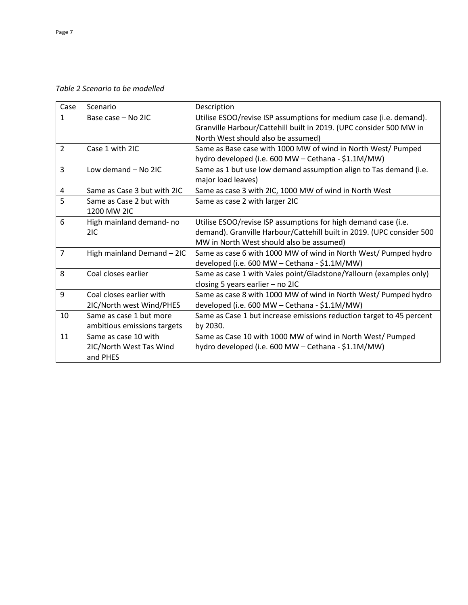*Table 2 Scenario to be modelled*

| Case           | Scenario                                                    | Description                                                                                                                                                                         |
|----------------|-------------------------------------------------------------|-------------------------------------------------------------------------------------------------------------------------------------------------------------------------------------|
| $\mathbf{1}$   | Base case - No 2IC                                          | Utilise ESOO/revise ISP assumptions for medium case (i.e. demand).<br>Granville Harbour/Cattehill built in 2019. (UPC consider 500 MW in                                            |
|                |                                                             | North West should also be assumed)                                                                                                                                                  |
| $\overline{2}$ | Case 1 with 2IC                                             | Same as Base case with 1000 MW of wind in North West/ Pumped<br>hydro developed (i.e. 600 MW - Cethana - \$1.1M/MW)                                                                 |
| $\overline{3}$ | Low demand - No 2IC                                         | Same as 1 but use low demand assumption align to Tas demand (i.e.<br>major load leaves)                                                                                             |
| 4              | Same as Case 3 but with 2IC                                 | Same as case 3 with 2IC, 1000 MW of wind in North West                                                                                                                              |
| 5              | Same as Case 2 but with<br>1200 MW 2IC                      | Same as case 2 with larger 2IC                                                                                                                                                      |
| 6              | High mainland demand- no<br>2IC                             | Utilise ESOO/revise ISP assumptions for high demand case (i.e.<br>demand). Granville Harbour/Cattehill built in 2019. (UPC consider 500<br>MW in North West should also be assumed) |
| $\overline{7}$ | High mainland Demand - 2IC                                  | Same as case 6 with 1000 MW of wind in North West/ Pumped hydro<br>developed (i.e. 600 MW - Cethana - \$1.1M/MW)                                                                    |
| 8              | Coal closes earlier                                         | Same as case 1 with Vales point/Gladstone/Yallourn (examples only)<br>closing 5 years earlier - no 2IC                                                                              |
| 9              | Coal closes earlier with<br>2IC/North west Wind/PHES        | Same as case 8 with 1000 MW of wind in North West/ Pumped hydro<br>developed (i.e. 600 MW - Cethana - \$1.1M/MW)                                                                    |
| 10             | Same as case 1 but more<br>ambitious emissions targets      | Same as Case 1 but increase emissions reduction target to 45 percent<br>by 2030.                                                                                                    |
| 11             | Same as case 10 with<br>2IC/North West Tas Wind<br>and PHES | Same as Case 10 with 1000 MW of wind in North West/ Pumped<br>hydro developed (i.e. 600 MW - Cethana - \$1.1M/MW)                                                                   |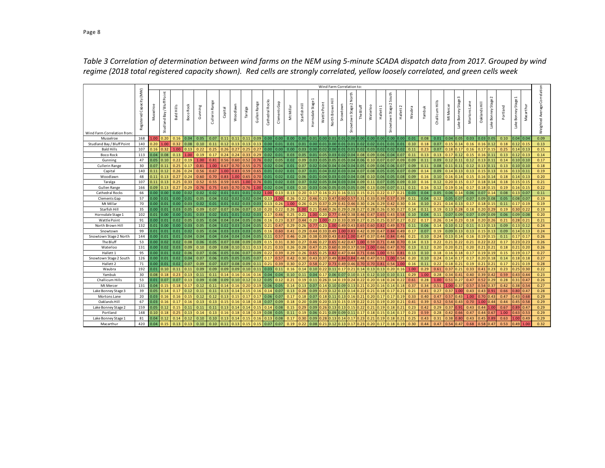|                            |                          | Wind Farm Correlation to: |                               |                   |              |               |                   |         |          |         |              |                 |                  |           |               |                                             |             |                                                     |          |                           |           |           |         |                           |           |       |        |                 |             |                     |              |                |                             |          |                                               |           |                              |
|----------------------------|--------------------------|---------------------------|-------------------------------|-------------------|--------------|---------------|-------------------|---------|----------|---------|--------------|-----------------|------------------|-----------|---------------|---------------------------------------------|-------------|-----------------------------------------------------|----------|---------------------------|-----------|-----------|---------|---------------------------|-----------|-------|--------|-----------------|-------------|---------------------|--------------|----------------|-----------------------------|----------|-----------------------------------------------|-----------|------------------------------|
| Wind Farm Correlation from | Registered Capacity (MW) | Musselroe                 | Point<br>Studiand Bay / Bluff | <b>Bald Hills</b> | Rock<br>Восо | Gunning       | Range<br>Cullerin | Capital | Woodlawn | Taralga | Gullen Range | Cathedral Rocks | Clements Gap     | Mt Millar | Starfish Hill | $\overline{\phantom{a}}$<br>Hornsdale Stage | WattlePoint | $\overline{\overline{\overline{x}}}$<br>North Brown | Snowtown | North<br>Snowtown Stage 2 | The Bluff | Waterloo  | Hallett | South<br>Snowtown Stage 2 | Hallett 2 | Waubr | Yambuk | Challicum Hills | Mercer<br>ž | Lake Bonney Stage 3 | Mortons Lane | Oaklands Hill  | $\sim$<br>Lake Bonney Stage | Portland | $\overline{\phantom{a}}$<br>Lake Bonney Stage | Macarthur | Weighted Average Correlation |
| Musselroe                  | 168                      | 1.00                      | 0.20                          | 0.16              | 0.04         | 0.05          | 0.07              | 0.11    | 0.11     | 0.11    |              |                 | $0.09$ 0.00 0.00 | 0.00      |               | $0.00$ $0.01$ $0.00$ $0.01$                 |             |                                                     | 10.01    | 0.0010.00                 |           | 0.0010.00 |         | 0.00                      | 0.00      | 0.01  | 0.08   | 0.01            | 0.04        | 10.05               | 0.03         | $0.03$ 0.05    |                             | 0.10     | $0.04$ 0.04                                   |           | 0.09                         |
| Studland Bay / Bluff Point | 140                      | 0.20                      | 1.00                          | 0.32              | 0.08         | 0.10          | 0.11              | 0.12    | 0.13     | 0.13    | 0.13         | 0.00            | 0.01             | 0.01      | 0.01          |                                             | 0.01        |                                                     |          |                           |           | 0.02      | 0.01    | 0.01                      | 0.01      | 0.10  | 0.18   | 0.07            | 0.15        | 0.14                | 0.16         | 0.16           | 0.12                        | 0.18     | $0.12$ 0.1                                    |           | 0.13                         |
| <b>Bald Hills</b>          | 107                      | 0.16                      | 0.32                          | 1.00              | 0.13         | 0.22          | 0.25              | 0.26    | 0.27     | 0.25    |              | 0.00            | 0.00             | 0.00      | 0.03          |                                             |             |                                                     |          |                           |           |           |         | 0.02                      | 0.02      | 0.11  | 0.23   | 0.07            | 0.18        |                     | 0.16         | 0.17           | 0.15                        | 0.25     | $0.14$ 0.13                                   |           | 0.15                         |
| <b>Boco Rock</b>           | 113                      | 0.04                      | 0.08                          | 0.13              | 1.00         | 0.19          | 0.17              | 0.24    | 0.24     | 0.33    | 0.29         | 0.02            | 0.01             | 0.03      | 0.05          |                                             |             |                                                     |          |                           |           | 0.09      | 0.06    | 0.04                      | 0.07      | 0.11  | 0.13   | 0.13            | 0.17        | 1.12                | 0.15         | 0.16           | 0.11                        | 0.13     | $0.12$ 0.13                                   |           | 0.14                         |
| Gunning                    | 47                       | 0.05                      | 0.10                          | 0.22              | 0.19         | 1.00          | 0.81              | 0.56    | 0.60     | 0.52    |              | 0.02            | 0.05             | 0.02      | 0.09          |                                             |             |                                                     |          |                           |           |           | .0.     | 0.07                      | 0.09      | 0.09  | 0.11   | 0.09            | 0.12        | .11                 | 0.12         | 0.13           | 0.11                        | 0.14     | 0.10 0.10                                     |           | 0.17                         |
| <b>Cullerin Range</b>      | 30                       | 0.07                      | 0.11                          | 0.25              | 0.17         | 0.81          | 1.00              | 0.67    | 0.70     | 0.55    |              | 0.02            | 0.04             | 0.01      | 0.07          |                                             |             |                                                     |          |                           |           | 0.09      | 0.06    | 0.06                      | 0.07      | 0.09  | 0.11   | 0.08            | 0.11        | 0.11                | 0.12         | 0.13           | 0.11                        | 0.13     | 0.10   0.10                                   |           | 0.18                         |
| Capital                    | 140                      | 0.11                      | 0.12                          | 0.26              | 0.24         | 0.56          | 0.67              | 1.00    | 0.83     | 0.59    |              | 0.01            | 0.02             | 0.01      | 0.07          |                                             |             |                                                     |          |                           |           |           |         | 0.05                      | 0.OJ      | 0.09  | 0.14   | 0.09            | 0.14        | 0.13                | 0.13         | 0.15           | 0.13                        | 0.16     | 0.13 0.11                                     |           | 0.19                         |
| Woodlawn                   | 48                       | 0.11                      | 0.13                          | 0.27              | 0.24         | 0.60          | 0.70              | 0.83    | 1.00     | 0.65    | 0.70         | 0.01            | 0.02             | 0.02      | 0.06          | 0.01                                        |             |                                                     |          |                           |           | 0.10      | 0.06    | 0.05                      | 0.08      | 0.09  | 0.16   | 0.10            | 0.16        | , 14                | 0.15         | 0.16           | 0.14                        | 0.18     | $0.14$ 0.13                                   |           | 0.20                         |
| Taralga                    | 107                      | 0.11                      | 0.13                          | 0.25              | 0.33         | 0.52          | 0.55              | 0.59    | 0.65     | 1.00    |              | 0.01            | 0.02             | 0.03      | 0.07          | 0.02                                        |             |                                                     |          |                           |           | 0.11      | (1,0)   | 0.05                      | 0.OS      | 0.10  | 0.16   | 0.12            | 0.20        |                     | 0.17         | 0.18           | 0.14                        | 0.18     | $0.15$ 0.1                                    |           | 0.21                         |
| <b>Gullen Range</b>        | 166                      | 0.09                      | 0.13                          | 0.27              | 0.29         | 0.76          | 0.75              | 0.65    |          | 0.76    |              | 0.02            | 0.04             | 0.03      | 0.10          | 0.03                                        |             |                                                     |          |                           |           |           | 0.09    | 0.07                      | $_{0.11}$ | 0.11  | 0.16   | 0.12            | 0.19        | 0.16                | 0.17         | 0.18           | 0.15                        | 0.19     | $0.16$ 0.15                                   |           | 0.22                         |
| <b>Cathedral Rocks</b>     | 66                       | 0.00                      | 0.00                          | 0.00              | 0.02         | 0.02          | 0.02              | 0.01    | 0.01     | 0.01    | 0.02         | 1.00            | 0.13             | 0.13      | 0.20          | 0.17                                        |             |                                                     |          |                           |           | 0.21      |         | 0.17                      | 0.21      | 0.03  | 0.04   | 0.05            | 0.06        |                     | 0.06         | 0.07           | 0.14                        | 0.08     | 0.13   0.07                                   |           | 0.11                         |
| Clements Gap               | 57                       | 0.00                      | 0.01                          | 0.00              |              | $0.01$ 0.05   | 0.04              | 0.02    | 0.02     | 0.02    | 0.04         | 0.13            | 1.00             | 0.26      | 0.22          | 0.46                                        |             |                                                     |          |                           |           | 0.33      | .39     | 0.57                      | 0.39      | 0.11  | 0.04   | 0.12            | 0.05        | 0.07                | 0.07         | 0.09           | 0.08                        | 0.05     | 0.08 0.0                                      |           | 0.19                         |
| Mt Millar                  | 70                       | 0.00                      | 0.01                          | 0.00              | 0.03         | 0.02          | 0.01              | 0.01    | 0.02     | 0.03    |              | 0.13            | 0.26             | 1.00      | 0.26          |                                             |             |                                                     |          |                           |           |           |         | 0.42                      |           | 0.16  | 0.10   | 0.21            | 0.14        | .13                 | 0.17         | 0.18           | 0.15                        | 0.11     |                                               | 0.17 0.19 | 0.19                         |
| Starfish Hill              | 35                       | 0.00                      | 0.01                          | 0.03              | 0.05         | 0.09          | 0.07              | 0.07    | 0.06     | 0.07    | 0.10         | 0.20            | 0.22             | 0.26      | .00           | 0.21                                        |             |                                                     |          |                           |           |           |         | 0.30                      |           | 0.14  | 0.11   | 0.19            | 0.13        |                     | 0.18         | 0.20           |                             | 0.19     | 0.30   0.22                                   |           | 0.19                         |
| Hornsdale Stage 1          | 102                      | 0.01                      | 0.00                          | 0.00              | 0.01         | 0.03          | 0.02              | 0.01    | 0.01     | 0.02    | 0.03         | 0.17            | 0.46             | 0.25      | 0.21          | 1.00                                        |             |                                                     |          |                           |           | 0.47      | 1.65    | 0.43                      | ን.58      | 0.10  | 0.04   | 0.11            | 0.07        | 0.09                | 0.07         | 0.09           | 0.09                        | 0.06     | 0.09 0.08                                     |           | 0.20                         |
| Wattle Point               | 91                       | 0.00                      | 0.01                          | 0.02              | 0.05         | 0.05          | 0.04              | 0.04    | 0.04     | 0.05    |              | 0.16            | 0.23             | 0.37      | 0.44          |                                             |             |                                                     |          |                           |           |           |         | 0.37                      |           | 0.22  | 0.17   | 0.26            | 0.14        | .23                 | 0.18         | 0.20           | 0.26                        | 0.21     | 0.28 0.21                                     |           | 0.21                         |
| North Brown Hill           | 132                      | 0.01                      | 0.00                          | 0.00              | 0.03         | 0.05          | 0.04              | 0.02    |          | 0.04    |              | 0.21            | 0.4              | 0.29      | 0.26          |                                             |             |                                                     |          |                           |           |           |         | 0.49                      |           | 0.11  | 0.06   | 0.14            | 0.10        |                     | 0.11         | 0.13           | 0.13                        | 0.09     | $0.13$ 0.12                                   |           | 0.24                         |
| Snowtown                   | 99                       | 0.01                      | 0.01                          | 0.01              | 0.02         | 0.05          | 0.04              | 0.03    | 0.03     | 0.03    |              | 0.16            | 0.60             | 0.41      | 0.29          |                                             |             |                                                     |          |                           |           | 0.39      | .47     | 0.84                      | 0.49      | 0.17  | 0.07   | 0.19            | 0.09        | 0.13                | 0.13         | 0.15           | 0.13                        | 0.09     | $0.14 \ 0.13$                                 |           | 0.24                         |
| Snowtown Stage 2 North     | 144                      | 0.00                      | 0.01                          | 0.01              |              | $0.04 \ 0.04$ | 0.04              | 0.04    | 0.04     | 0.04    | 0.05         | 0.11            | 0.57             | 0.46      | 0.28          |                                             |             |                                                     |          |                           |           | 0.37      |         | 0.84                      | 0.46      | 0.21  | 0.10   | 0.24            | 0.13        | .14                 | 0.16         | 0.19           | 0.15                        | 0.11     | $0.17$ 0.17                                   |           | 0.26                         |
| The Bluff                  | 53                       | 0.00                      | 0.02                          | 0.02              | 0.08         | 0.06          | 0.05              | 0.07    | 0.08     | 0.09    |              | 0.15            | 0.31             | 0.30      | 0.27          |                                             |             |                                                     |          |                           |           |           |         | 0.48                      |           | 0.14  | 0.13   | 0.22            | 0.21        |                     | 0.21         | 0.22           |                             | 0.17     | 0.23 0.23                                     |           | 0.26                         |
| Waterloo                   | 131                      | 0.00                      | 0.02                          | 0.03              | 0.09         | 0.10          | 0.09              | 0.08    | 0.10     | 0.11    |              | 0.21            | 0.33             | 0.26      | 0.28          | 0.47                                        |             |                                                     |          |                           |           | .00       | .66     | 0.47                      | 0.7C      | 0.13  | 0.12   | 0.20            | 0.20        | 0.21                | 0.20         | 0.21           | 0.21                        | 0.18     | 0.21                                          | 0.20      | 0.26                         |
| Hallett <sub>1</sub>       | 95                       | 0.00                      | 0.01                          | 0.02              | 0.06         | 0.07          | 0.06              | 0.05    | 0.06     | 0.07    | 0.09         | 0.22            | 0.39             | 0.29      | 0.26          |                                             |             |                                                     |          |                           |           |           |         | 0.51                      | ገ.ጸ1      | 0.13  | 0.10   | 0.18            | 0.16        | 0.18                | 0.17         | 0.19           | 0.19                        | 0.15     | $0.19$ $0.17$                                 |           | 0.27                         |
| Snowtown Stage 2 South     | 126                      | 0.00                      | 0.01                          | 0.02              | 0.04         | 0.07          | 0.06              | 0.05    | 0.05     | 0.05    | 0.07         | 0.17            | 0.57             | 0.42      | 0.30          |                                             |             |                                                     |          |                           |           | 0.47      |         | 1.00                      | 0.54      | 0.20  | 0.10   | 0.24            | 0.14        |                     | 0.17         | 0.20           |                             | 0.14     | 0.18 0.18                                     |           | 0.27                         |
| Hallett <sub>2</sub>       | 71                       | 0.00                      | 0.01                          | 0.02              | 0.07         | 0.09          | 0.07              | 0.07    | 0.08     | 0.09    | 0.11         | 0.21            | 0.39             | 0.30      | 0.27          |                                             |             |                                                     |          |                           |           |           |         | 0.54                      | .00       | 0.16  | 0.11   | 0.22            | 0.18        | 0.21                | 0.19         | 0.21           | 0.21                        | 0.17     | 0.21                                          | 0.19      | 0.28                         |
| Waubra                     | 192                      | 0.01                      | 0.10                          | 0.11              | 0.11         | 0.09          | 0.09              | 0.09    | 0.09     | 0.10    |              | 0.03            | 0.11             | 0.16      | 0.14          |                                             |             |                                                     |          |                           |           |           |         | 0.20                      |           | 1.00  | 0.29   | 0.61            | 0.37        | 1.21                | 0.33         | 0.41           | 0.23                        | 0.23     | $0.25$ 0.30                                   |           | 0.22                         |
| Yambuk                     | 30                       | 0.08                      | 0.18                          | 0.23              | 0.13         | 0.11          | 0.11              | 0.14    |          | 1.16    |              | 0.04            | 0.04             | 0.10      | 0.11          |                                             |             |                                                     |          |                           |           |           |         | 0.10                      | 0.11      | 0.29  | 1.00   | 0.28            | 0.34        | 0.41                | 0.40         | 0.39           | 0.42                        | 0.59     | 0.43 0.44                                     |           | 0.23                         |
| Challicum Hills            | 53                       | 0.01                      | 0.07                          | 0.07              | 0.13         | 0.09          | 0.08              | 0.09    | 0.10     | 0.12    |              | 0.05            |                  | 0.21      | 0.19          | 0.11                                        |             |                                                     |          |                           |           |           |         | 0.24                      | 1.22      | 0.61  | 0.28   | 1.00            | 0.51        | 1.27                | 0.47         | 0.52           | 0.29                        | 0.28     | 0.31   0.4                                    |           | 0.26                         |
| Mt Mercer                  | 131                      | 0.04                      | 0.15                          | 0.18              |              | 0.12          | 0.11              | 0.14    |          | 0.20    |              | 0.06            | 0.05             | 0.14      | 0.13          |                                             |             |                                                     |          |                           |           |           |         | 0.14                      |           | 0.37  | 0.34   | 0.51            | 1.00        | .37                 | 0.57         | 0.54           | 0.37                        | 0.42     | $0.38$ 0.5                                    |           | 0.27                         |
| Lake Bonney Stage 3        | 39                       | 0.05                      | 0.14                          | 0.17              | 0.12         | 0.11          | 0.11              | 0.13    | 0.14     | 0.15    |              | 0.14            | 0.07             | 0.13      | 0.28          |                                             |             |                                                     |          |                           |           | 0.21      |         | 0.17                      | 0.21      | 0.21  | 0.41   | 0.27            | 0.37        | L.OO                | 0.43         | $0.43 \, 0.91$ |                             | 0.66     | 0.80 0.47                                     |           | 0.28                         |
| Mortons Lane               | 20                       | 0.03                      | 0.16                          | 0.16              | 0.15         | 0.12          | 0.12              | 0.13    | 0.15     | 0.17    |              | 0.06            | 0.07             | 0.17      | 0.18          | 0.07                                        |             |                                                     |          |                           |           |           |         | 0.17                      |           | 0.33  | 0.40   | 0.47            | 0.57        | .43                 | 1.00         | 0.70           | 0.43                        | 0.47     | 0.43 0.68                                     |           | 0.29                         |
| Oaklands Hill              | 67                       | 0.03                      | 0.16                          | 0.17              | 0.16         | 0.13          | 0.13              | 0.15    | 0.16     | 0.18    |              | 0.07            | 0.09             | 0.18      | 0.20          |                                             |             |                                                     |          |                           |           | 0.21      |         | 0.20                      | 0.21      | 0.41  | 0.39   | 0.52            | 0.54        | 0.43                | 0.70         | 1.00           | 0.44                        | 0.44     | $0.45$ 0.58                                   |           | 0.29                         |
| Lake Bonney Stage 2        | 159                      | 0.05                      | 0.12                          | 0.15              | 0.11         | 0.11          | 0.11              | 0.13    | 0.14     | 0.14    |              | 0.14            | 0.08             | 0.15      | 0.29          |                                             |             |                                                     |          |                           |           | 0.21      |         | 0.18                      | 0.21      | 0.23  | 0.42   | 0.29            | 0.37        | 1.91                | 0.43         | 0.44           | 1.00                        | 0.67     | 0.89 0.47                                     |           | 0.29                         |
| Portland                   | 148                      | 0.10                      | 0.18                          | 0.25              | 0.13         | 0.14          | 0.13              | 0.16    | 0.18     | 0.18    |              | 0.08            | 0.05             | 0.11      | 0.19          | 0.06                                        |             |                                                     |          |                           |           |           |         | 0.14                      |           | 0.23  | 0.59   | 0.28            | 0.42        | .66                 | 0.47         | 0.44           | 0.67                        | 1.00     | 0.63                                          | 0.53      | 0.29                         |
| Lake Bonney Stage 1        | 81                       | 0.04                      | 0.12                          | 0.14              | 0.12         | 0.10          | 0.10              | 0.13    | 0.14     | 0.15    |              | 0.13            | 0.08             | 0.17      | 0.30          | 0.09                                        |             |                                                     |          |                           |           |           |         | 0.18                      | :20       | 0.25  | 0.43   | 0.31            | 0.38        | .80                 | 0.43         | 0.45           | 0.89                        | 0.63     |                                               | 1.00 0.49 | 0.29                         |
| Macarthur                  | 420                      | 0.04                      | 0.15                          | 0.13              | 0.13         | 0.10          | 0.10              | 0.11    | 0.13     | 0.15    | 0.15         | 0.07            | 0.07             | 0.19      |               |                                             |             |                                                     |          |                           |           |           |         | 0.18                      |           | 0.30  | 0.44   | 0.47            | 0.54        | .47                 | 0.68         | 0.58           | 0.47                        | 0.53     | 0.49                                          |           | 0.32                         |

*Table 3 Correlation of determination between wind farms on the NEM using 5-minute SCADA dispatch data from 2017. Grouped by wind regime (2018 total registered capacity shown). Red cells are strongly correlated, yellow loosely correlated, and green cells week*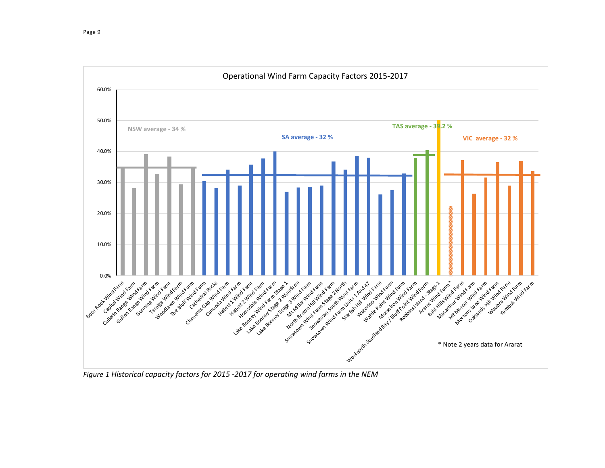

*Figure 1 Historical capacity factors for 2015 -2017 for operating wind farms in the NEM*